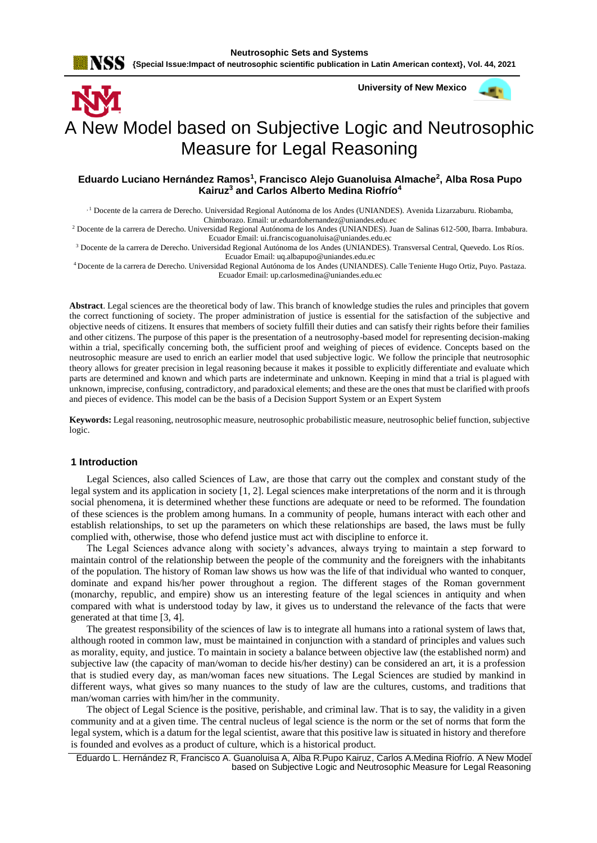

 **University of New Mexico**



# A New Model based on Subjective Logic and Neutrosophic Measure for Legal Reasoning

#### **Eduardo Luciano Hernández Ramos<sup>1</sup> , Francisco Alejo Guanoluisa Almache<sup>2</sup> , Alba Rosa Pupo Kairuz<sup>3</sup> and Carlos Alberto Medina Riofrío<sup>4</sup>**

, 1 Docente de la carrera de Derecho. Universidad Regional Autónoma de los Andes (UNIANDES). Avenida Lizarzaburu. Riobamba, Chimborazo. Email[: ur.eduardohernandez@uniandes.edu.ec](mailto:ur.eduardohernandez@uniandes.edu.ec)

<sup>2</sup> Docente de la carrera de Derecho. Universidad Regional Autónoma de los Andes (UNIANDES). Juan de Salinas 612-500, Ibarra. Imbabura. Ecuador Email[: ui.franciscoguanoluisa@uniandes.edu.ec](mailto:ui.franciscoguanoluisa@uniandes.edu.ec)

<sup>3</sup> Docente de la carrera de Derecho. Universidad Regional Autónoma de los Andes (UNIANDES). Transversal Central, Quevedo. Los Ríos. Ecuador Email[: uq.albapupo@uniandes.edu.ec](mailto:uq.albapupo@uniandes.edu.ec)

<sup>4</sup>Docente de la carrera de Derecho. Universidad Regional Autónoma de los Andes (UNIANDES). Calle Teniente Hugo Ortiz, Puyo. Pastaza. Ecuador Email: [up.carlosmedina@uniandes.edu.ec](mailto:up.carlosmedina@uniandes.edu.ec)

**Abstract**. Legal sciences are the theoretical body of law. This branch of knowledge studies the rules and principles that govern the correct functioning of society. The proper administration of justice is essential for the satisfaction of the subjective and objective needs of citizens. It ensures that members of society fulfill their duties and can satisfy their rights before their families and other citizens. The purpose of this paper is the presentation of a neutrosophy-based model for representing decision-making within a trial, specifically concerning both, the sufficient proof and weighing of pieces of evidence. Concepts based on the neutrosophic measure are used to enrich an earlier model that used subjective logic. We follow the principle that neutrosophic theory allows for greater precision in legal reasoning because it makes it possible to explicitly differentiate and evaluate which parts are determined and known and which parts are indeterminate and unknown. Keeping in mind that a trial is plagued with unknown, imprecise, confusing, contradictory, and paradoxical elements; and these are the ones that must be clarified with proofs and pieces of evidence. This model can be the basis of a Decision Support System or an Expert System

**Keywords:** Legal reasoning, neutrosophic measure, neutrosophic probabilistic measure, neutrosophic belief function, subjective logic.

#### **1 Introduction**

Legal Sciences, also called Sciences of Law, are those that carry out the complex and constant study of the legal system and its application in society [\[1,](#page-5-0) [2\]](#page-6-0). Legal sciences make interpretations of the norm and it is through social phenomena, it is determined whether these functions are adequate or need to be reformed. The foundation of these sciences is the problem among humans. In a community of people, humans interact with each other and establish relationships, to set up the parameters on which these relationships are based, the laws must be fully complied with, otherwise, those who defend justice must act with discipline to enforce it.

The Legal Sciences advance along with society's advances, always trying to maintain a step forward to maintain control of the relationship between the people of the community and the foreigners with the inhabitants of the population. The history of Roman law shows us how was the life of that individual who wanted to conquer, dominate and expand his/her power throughout a region. The different stages of the Roman government (monarchy, republic, and empire) show us an interesting feature of the legal sciences in antiquity and when compared with what is understood today by law, it gives us to understand the relevance of the facts that were generated at that time [\[3,](#page-6-1) [4\]](#page-6-2).

The greatest responsibility of the sciences of law is to integrate all humans into a rational system of laws that, although rooted in common law, must be maintained in conjunction with a standard of principles and values such as morality, equity, and justice. To maintain in society a balance between objective law (the established norm) and subjective law (the capacity of man/woman to decide his/her destiny) can be considered an art, it is a profession that is studied every day, as man/woman faces new situations. The Legal Sciences are studied by mankind in different ways, what gives so many nuances to the study of law are the cultures, customs, and traditions that man/woman carries with him/her in the community.

The object of Legal Science is the positive, perishable, and criminal law. That is to say, the validity in a given community and at a given time. The central nucleus of legal science is the norm or the set of norms that form the legal system, which is a datum for the legal scientist, aware that this positive law is situated in history and therefore is founded and evolves as a product of culture, which is a historical product.

Eduardo L. Hernández R, Francisco A. Guanoluisa A, Alba R.Pupo Kairuz, Carlos A.Medina Riofrío. A New Model based on Subjective Logic and Neutrosophic Measure for Legal Reasoning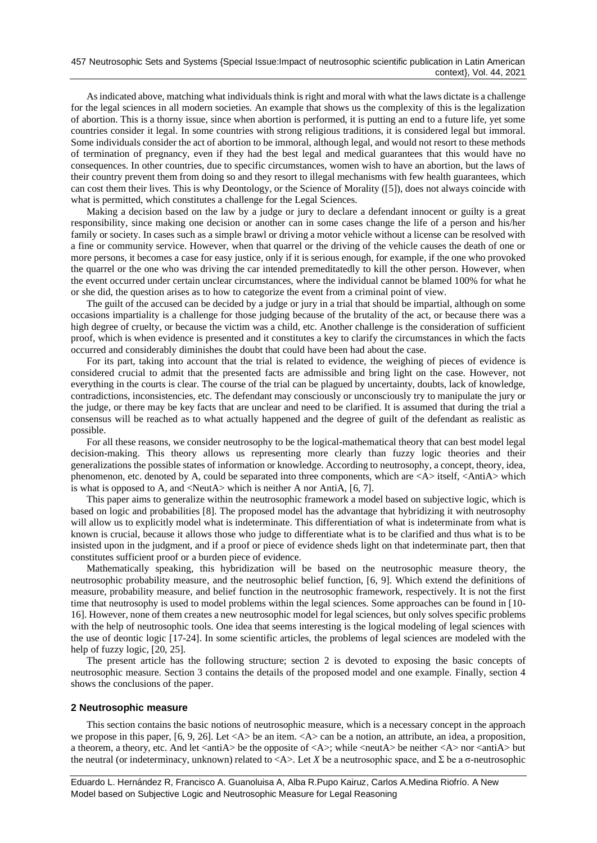As indicated above, matching what individuals think is right and moral with what the laws dictate is a challenge for the legal sciences in all modern societies. An example that shows us the complexity of this is the legalization of abortion. This is a thorny issue, since when abortion is performed, it is putting an end to a future life, yet some countries consider it legal. In some countries with strong religious traditions, it is considered legal but immoral. Some individuals consider the act of abortion to be immoral, although legal, and would not resort to these methods of termination of pregnancy, even if they had the best legal and medical guarantees that this would have no consequences. In other countries, due to specific circumstances, women wish to have an abortion, but the laws of their country prevent them from doing so and they resort to illegal mechanisms with few health guarantees, which can cost them their lives. This is why Deontology, or the Science of Morality ([\[5\]](#page-6-3)), does not always coincide with what is permitted, which constitutes a challenge for the Legal Sciences.

Making a decision based on the law by a judge or jury to declare a defendant innocent or guilty is a great responsibility, since making one decision or another can in some cases change the life of a person and his/her family or society. In cases such as a simple brawl or driving a motor vehicle without a license can be resolved with a fine or community service. However, when that quarrel or the driving of the vehicle causes the death of one or more persons, it becomes a case for easy justice, only if it is serious enough, for example, if the one who provoked the quarrel or the one who was driving the car intended premeditatedly to kill the other person. However, when the event occurred under certain unclear circumstances, where the individual cannot be blamed 100% for what he or she did, the question arises as to how to categorize the event from a criminal point of view.

The guilt of the accused can be decided by a judge or jury in a trial that should be impartial, although on some occasions impartiality is a challenge for those judging because of the brutality of the act, or because there was a high degree of cruelty, or because the victim was a child, etc. Another challenge is the consideration of sufficient proof, which is when evidence is presented and it constitutes a key to clarify the circumstances in which the facts occurred and considerably diminishes the doubt that could have been had about the case.

For its part, taking into account that the trial is related to evidence, the weighing of pieces of evidence is considered crucial to admit that the presented facts are admissible and bring light on the case. However, not everything in the courts is clear. The course of the trial can be plagued by uncertainty, doubts, lack of knowledge, contradictions, inconsistencies, etc. The defendant may consciously or unconsciously try to manipulate the jury or the judge, or there may be key facts that are unclear and need to be clarified. It is assumed that during the trial a consensus will be reached as to what actually happened and the degree of guilt of the defendant as realistic as possible.

For all these reasons, we consider neutrosophy to be the logical-mathematical theory that can best model legal decision-making. This theory allows us representing more clearly than fuzzy logic theories and their generalizations the possible states of information or knowledge. According to neutrosophy, a concept, theory, idea, phenomenon, etc. denoted by A, could be separated into three components, which are <A> itself, <AntiA> which is what is opposed to A, and <NeutA> which is neither A nor AntiA, [\[6,](#page-6-4) [7\]](#page-6-5).

This paper aims to generalize within the neutrosophic framework a model based on subjective logic, which is based on logic and probabilities [\[8\]](#page-6-6). The proposed model has the advantage that hybridizing it with neutrosophy will allow us to explicitly model what is indeterminate. This differentiation of what is indeterminate from what is known is crucial, because it allows those who judge to differentiate what is to be clarified and thus what is to be insisted upon in the judgment, and if a proof or piece of evidence sheds light on that indeterminate part, then that constitutes sufficient proof or a burden piece of evidence.

Mathematically speaking, this hybridization will be based on the neutrosophic measure theory, the neutrosophic probability measure, and the neutrosophic belief function, [\[6,](#page-6-4) [9\]](#page-6-7). Which extend the definitions of measure, probability measure, and belief function in the neutrosophic framework, respectively. It is not the first time that neutrosophy is used to model problems within the legal sciences. Some approaches can be found in [\[10-](#page-6-8) [16\]](#page-6-8). However, none of them creates a new neutrosophic model for legal sciences, but only solves specific problems with the help of neutrosophic tools. One idea that seems interesting is the logical modeling of legal sciences with the use of deontic logic [\[17-24\]](#page-6-9). In some scientific articles, the problems of legal sciences are modeled with the help of fuzzy logic, [\[20,](#page-6-10) [25\]](#page-6-11).

The present article has the following structure; section 2 is devoted to exposing the basic concepts of neutrosophic measure. Section 3 contains the details of the proposed model and one example. Finally, section 4 shows the conclusions of the paper.

#### **2 Neutrosophic measure**

This section contains the basic notions of neutrosophic measure, which is a necessary concept in the approach we propose in this paper,  $[6, 9, 26]$  $[6, 9, 26]$  $[6, 9, 26]$ . Let  $\langle A \rangle$  be an item.  $\langle A \rangle$  can be a notion, an attribute, an idea, a proposition, a theorem, a theory, etc. And let  $\langle \text{antiA}\rangle$  be the opposite of  $\langle \text{A}\rangle$ ; while  $\langle \text{neutA}\rangle$  be neither  $\langle \text{A}\rangle$  nor  $\langle \text{antiA}\rangle$  but the neutral (or indeterminacy, unknown) related to <A>. Let *X* be a neutrosophic space, and Σ be a σ-neutrosophic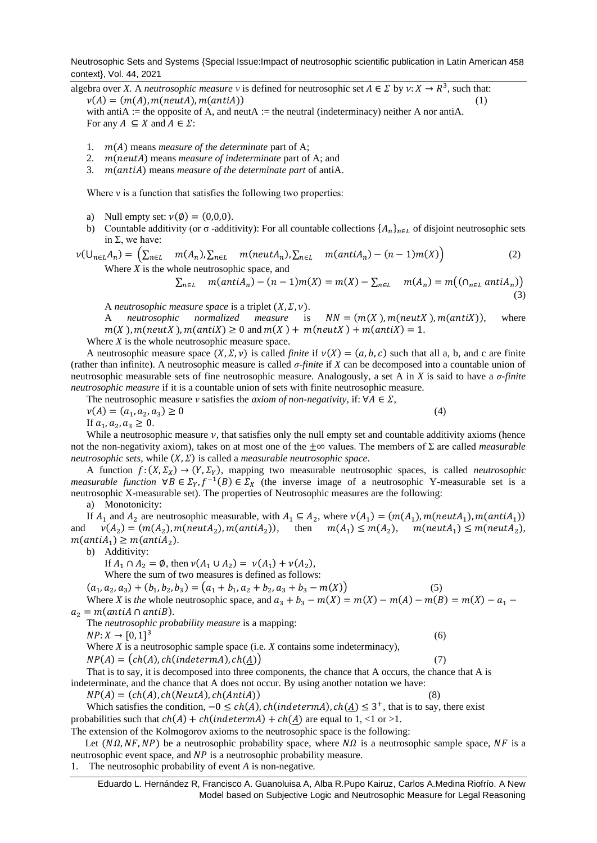Neutrosophic Sets and Systems {Special Issue:Impact of neutrosophic scientific publication in Latin American 458 context}, Vol. 44, 2021

algebra over *X*. A *neutrosophic measure v* is defined for neutrosophic set  $A \in \Sigma$  by  $v: X \to R^3$ , such that:  $\nu(A) = (m(A), m(neutA), m(antiA))$ (1) with antiA := the opposite of A, and neutA := the neutral (indeterminacy) neither A nor antiA. For any  $A \subseteq X$  and  $A \in \Sigma$ :

- 1.  $m(A)$  means *measure of the determinate* part of A;
- 2.  $m(neutA)$  means *measure of indeterminate* part of A; and
- 3.  $m(antiA)$  means *measure of the determinate part* of antiA.

Where *v* is a function that satisfies the following two properties:

- a) Null empty set:  $v(\phi) = (0,0,0)$ .
- b) Countable additivity (or  $\sigma$  -additivity): For all countable collections  $\{A_n\}_{n\in L}$  of disjoint neutrosophic sets in  $Σ$ , we have:

$$
\nu(\bigcup_{n\in L}A_n) = \left(\sum_{n\in L} m(A_n), \sum_{n\in L} m(n\epsilon_1(A_n), \sum_{n\in L} m(\epsilon_n(A_n)) - (n-1)m(X)\right)
$$
\n(2)

\nWhere *X* is the whole neutroscopic space, and

$$
\sum_{n\in L} m(antiA_n) - (n-1)m(X) = m(X) - \sum_{n\in L} m(A_n) = m((\cap_{n\in L} antiA_n))
$$
\n(3)

A *neutrosophic measure space* is a triplet  $(X, \Sigma, \nu)$ .

A *neutrosophic normalized measure* is  $NN = (m(X), m(n \text{ent } X), m(\text{ant } X))$ , where  $m(X)$ ,  $m(newX)$ ,  $m(antiX) \ge 0$  and  $m(X) + m(newX) + m(antiX) = 1$ .

Where *X* is the whole neutrosophic measure space.

A neutrosophic measure space  $(X, \Sigma, \nu)$  is called *finite* if  $\nu(X) = (a, b, c)$  such that all a, b, and c are finite (rather than infinite). A neutrosophic measure is called *σ-finite* if *X* can be decomposed into a countable union of neutrosophic measurable sets of fine neutrosophic measure. Analogously, a set A in *X* is said to have a *σ-finite neutrosophic measure* if it is a countable union of sets with finite neutrosophic measure.

The neutrosophic measure *v* satisfies the *axiom of non-negativity*, if:  $\forall A \in \Sigma$ ,  $\nu(A) = (a_1, a_2, a_3) \geq 0$  $) \geq 0$  (4)

If  $a_1, a_2, a_3 \geq 0$ .

While a neutrosophic measure  $\nu$ , that satisfies only the null empty set and countable additivity axioms (hence not the non-negativity axiom), takes on at most one of the ±∞ values. The members of Σ are called *measurable neutrosophic sets, while*  $(X, \Sigma)$  is called a *measurable neutrosophic space.* 

A function  $f: (X, \Sigma_X) \to (Y, \Sigma_Y)$ , mapping two measurable neutrosophic spaces, is called *neutrosophic measurable function*  $\forall B \in \Sigma_Y$ ,  $f^{-1}(B) \in \Sigma_X$  (the inverse image of a neutrosophic Y-measurable set is a neutrosophic X-measurable set). The properties of Neutrosophic measures are the following:

a) Monotonicity:

If  $A_1$  and  $A_2$  are neutrosophic measurable, with  $A_1 \subseteq A_2$ , where  $v(A_1) = (m(A_1), m(neutA_1), m(antiA_1))$ and  $v(A_2) = (m(A_2), m(neutA_2), m(antiA_2)),$  then  $m(A_1) \le m(A_2), m(neutA_1) \le m(neutA_2),$  $m(antiA<sub>1</sub>) \geq m(antiA<sub>2</sub>).$ 

b) Additivity:

- If  $A_1 \cap A_2 = \emptyset$ , then  $\nu(A_1 \cup A_2) = \nu(A_1) + \nu(A_2)$ ,
- Where the sum of two measures is defined as follows:
- $(a_1, a_2, a_3) + (b_1, b_2, b_3) = (a_1 + b_1, a_2 + b_2, a_3 + b_3 m(X))$  (5)

Where *X* is *the* whole neutrosophic space, and  $a_3 + b_3 - m(X) = m(X) - m(A) - m(B) = m(X) - a_1$  $a_2 = m(\text{antiA} \cap \text{antiB}).$ 

The *neutrosophic probability measure* is a mapping:

 $NP: X \to [0, 1]^3$ (6)

Where *X* is a neutrosophic sample space (i.e. *X* contains some indeterminacy),

 $NP(A) = (ch(A), ch(indetermA), ch(A))$  (7)

That is to say, it is decomposed into three components, the chance that A occurs, the chance that A is indeterminate, and the chance that A does not occur. By using another notation we have:

 $NP(A) = (ch(A), ch(NeutA), ch(AntiA))$  (8)

Which satisfies the condition,  $-0 \le ch(A)$ ,  $ch(indetermin)$ ,  $ch(\underline{A}) \le 3^+$ , that is to say, there exist probabilities such that  $ch(A) + ch(indetermined) + ch(A)$  are equal to 1, <1 or >1.

The extension of the Kolmogorov axioms to the neutrosophic space is the following:

Let  $(N\Omega, NF, NP)$  be a neutrosophic probability space, where  $N\Omega$  is a neutrosophic sample space, NF is a neutrosophic event space, and  $NP$  is a neutrosophic probability measure. 1. The neutrosophic probability of event *A* is non-negative*.*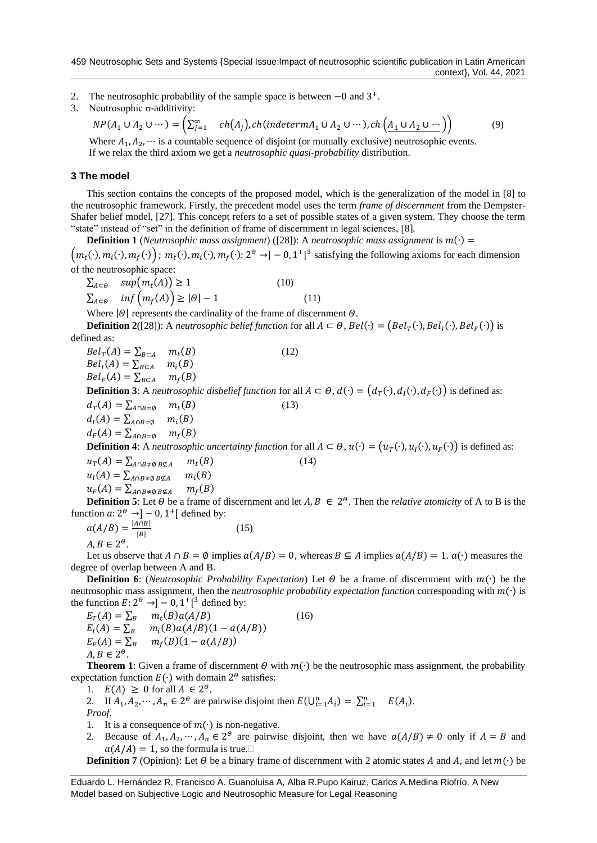- 2. The neutrosophic probability of the sample space is between –0 and 3<sup>+</sup>.
- 3. Neutrosophic σ-additivity:

$$
NP(A_1 \cup A_2 \cup \cdots) = \left(\sum_{j=1}^{\infty} ch(A_j), ch(indetermin_A \cup A_2 \cup \cdots), ch(\underbrace{A_1 \cup A_2 \cup \cdots}_{1})\right) \tag{9}
$$

Where  $A_1, A_2, \dots$  is a countable sequence of disjoint (or mutually exclusive) neutrosophic events. If we relax the third axiom we get a *neutrosophic quasi-probability* distribution.

## **3 The model**

This section contains the concepts of the proposed model, which is the generalization of the model in [\[8\]](#page-6-6) to the neutrosophic framework. Firstly, the precedent model uses the term *frame of discernment* from the Dempster-Shafer belief model, [\[27\]](#page-6-13). This concept refers to a set of possible states of a given system. They choose the term "state" instead of "set" in the definition of frame of discernment in legal sciences, [\[8\]](#page-6-6)*.*

**Definition 1** (*Neutrosophic mass assignment*) ([\[28\]](#page-6-14)): A *neutrosophic mass assignment* is  $m(\cdot)$  =

 $(m_t(\cdot), m_i(\cdot), m_f(\cdot))$ ;  $m_t(\cdot), m_i(\cdot), m_f(\cdot)$ :  $2^{\theta} \rightarrow ]-0, 1^+]^3$  satisfying the following axioms for each dimension of the neutrosophic space:

 $\sum_{A \subset \Theta} \quad sup(m_t(A)) \ge 1$  (10)  $\sum_{A \subset \Theta} \inf \left( m_f(A) \right) \geq |\Theta| - 1$  (11) Where  $|\theta|$  represents the cardinality of the frame of discernment  $\theta$ .

**Definition 2**([\[28\]](#page-6-14)): A *neutrosophic belief function* for all  $A \subset \Theta$ ,  $Bel(\cdot) = (Bel_T(\cdot), Bel_T(\cdot), Bel_F(\cdot))$  is defined as:

 $Bel_T(A) = \sum_{B \subset A} m_t$  $(12)$  $Bel<sub>I</sub>(A) = \sum_{B \subset A} m<sub>i</sub>(B)$  $Bel_F(A) = \sum_{B \subset A} m_f(B)$ **Definition 3**: A *neutrosophic disbelief function* for all  $A ⊂ ∅$ ,  $d(·) = (d_T(·), d_I(·), d_F(·))$  is defined as:  $d_T(A) = \sum_{A \cap B} d_T = \emptyset$  $(13)$  $d_I(A) = \sum_{A \cap B = \emptyset} m_i(B)$  $d_F(A) = \sum_{A \cap B = \emptyset} m_f(B)$ **Definition 4**: A *neutrosophic uncertainty function* for all  $A \subset \Theta$ ,  $u(\cdot) = (u_T(\cdot), u_I(\cdot), u_F(\cdot))$  is defined as:  $u_T(A) = \sum_{A \cap B \neq \emptyset} B \notin A$   $m_t$  $m_t(B)$  (14)

 $u_I(A) = \sum_{A \cap B \neq \emptyset} B \notin A$   $m_i$  $m_i(B)$  $u_F(A) = \sum_{A \cap B \neq \emptyset} B \nsubseteq A$   $m_f$  $m_f(B)$ 

**Definition 5**: Let  $\Theta$  be a frame of discernment and let  $A, B \in 2^{\Theta}$ . Then the *relative atomicity* of A to B is the function  $a: 2^{\Theta} \rightarrow ]-0, 1^+$  [ defined by:

 $a(A/B) = \frac{|A \cap B|}{|B|}$  $|B|$ (15)

 $A, B \in 2^{\Theta}.$ 

Let us observe that  $A \cap B = \emptyset$  implies  $a(A/B) = 0$ , whereas  $B \subseteq A$  implies  $a(A/B) = 1$ .  $a(\cdot)$  measures the degree of overlap between A and B.

**Definition 6**: (*Neutrosophic Probability Expectation*) Let  $\Theta$  be a frame of discernment with  $m(\cdot)$  be the neutrosophic mass assignment, then the *neutrosophic probability expectation function* corresponding with (∙) is the function  $E: 2^{\Theta} \rightarrow ]-0, 1^+]^3$  defined by:

 $E_T(A) = \sum_B m_t(B) a(A/B)$  (16)  $E_I(A) = \sum_B m_i(B) a(A/B) (1 - a(A/B))$  $E_F(A) = \sum_R$  $m_f(B)(1 - a(A/B))$  $A, B \in 2^{\Theta}.$ 

**Theorem 1**: Given a frame of discernment  $\theta$  with  $m(\cdot)$  be the neutrosophic mass assignment, the probability expectation function  $E(\cdot)$  with domain 2<sup> $\theta$ </sup> satisfies:

- 1.  $E(A) \geq 0$  for all  $A \in 2^{\omega}$ ,
- 2. If  $A_1, A_2, \dots, A_n \in 2^\Theta$  are pairwise disjoint then  $E(\bigcup_{i=1}^n A_i) = \sum_{i=1}^n E(A_i)$ . *Proof*.
- 1. It is a consequence of  $m(·)$  is non-negative.
- 2. Because of  $A_1, A_2, \dots, A_n \in 2^{\omega}$  are pairwise disjoint, then we have  $a(A/B) \neq 0$  only if  $A = B$  and  $a(A/A) = 1$ , so the formula is true.

**Definition 7** (Opinion): Let  $\theta$  be a binary frame of discernment with 2 atomic states A and A, and let  $m(\cdot)$  be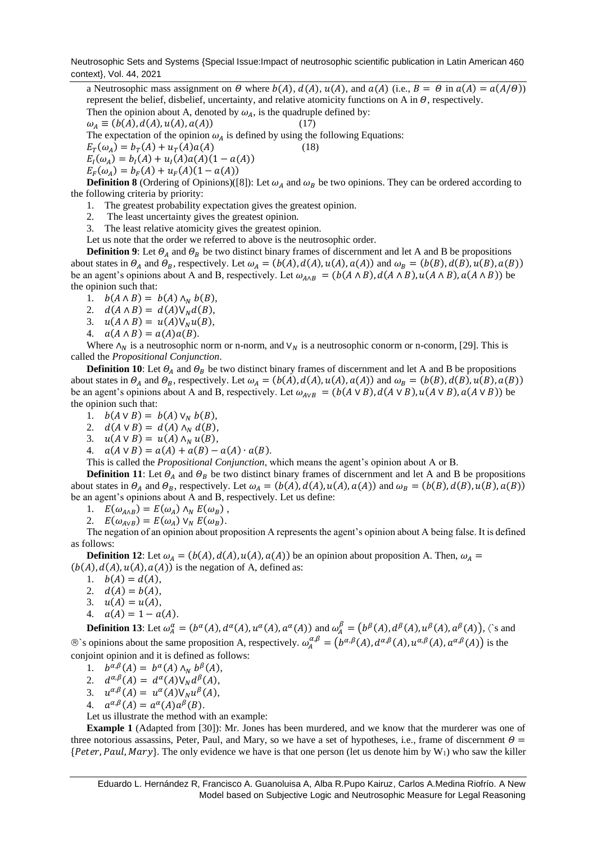Neutrosophic Sets and Systems {Special Issue:Impact of neutrosophic scientific publication in Latin American 460 context}, Vol. 44, 2021

a Neutrosophic mass assignment on  $\Theta$  where  $b(A)$ ,  $d(A)$ ,  $u(A)$ , and  $a(A)$  (i.e.,  $B = \Theta$  in  $a(A) = a(A/\Theta)$ ) represent the belief, disbelief, uncertainty, and relative atomicity functions on A in  $\theta$ , respectively. Then the opinion about A, denoted by  $\omega_A$ , is the quadruple defined by:

 $\omega_A \equiv (b(A), d(A), u(A), a(A))$  (17)

The expectation of the opinion  $\omega_A$  is defined by using the following Equations:

 $E_T(\omega_A) = b_T(A) + u_T(A)a(A)$  (18)

$$
E_I(\omega_A) = b_I(A) + u_I(A)a(A)(1 - a(A))
$$

 $E_F(\omega_A) = b_F(A) + u_F(A)(1 - a(A))$ 

**Definition 8** (Ordering of Opinions)([\[8\]](#page-6-6)): Let  $\omega_A$  and  $\omega_B$  be two opinions. They can be ordered according to the following criteria by priority:

- 1. The greatest probability expectation gives the greatest opinion.
- 2. The least uncertainty gives the greatest opinion.
- 3. The least relative atomicity gives the greatest opinion.

Let us note that the order we referred to above is the neutrosophic order.

**Definition 9**: Let  $\Theta_A$  and  $\Theta_B$  be two distinct binary frames of discernment and let A and B be propositions about states in  $\Theta_A$  and  $\Theta_B$ , respectively. Let  $\omega_A = (b(A), d(A), u(A), a(A))$  and  $\omega_B = (b(B), d(B), u(B), a(B))$ be an agent's opinions about A and B, respectively. Let  $\omega_{A \wedge B} = (b(A \wedge B), d(A \wedge B), u(A \wedge B), a(A \wedge B))$  be the opinion such that:

- 1.  $b(A \wedge B) = b(A) \wedge_N b(B)$ ,
- 2.  $d(A \wedge B) = d(A) \vee_N d(B)$ ,
- 3.  $u(A \wedge B) = u(A) \vee_N u(B)$ ,
- 4.  $a(A \wedge B) = a(A)a(B)$ .

Where  $\Lambda_N$  is a neutrosophic norm or n-norm, and  $V_N$  is a neutrosophic conorm or n-conorm, [\[29\]](#page-6-15). This is called the *Propositional Conjunction*.

**Definition 10**: Let  $\Theta_A$  and  $\Theta_B$  be two distinct binary frames of discernment and let A and B be propositions about states in  $\Theta_A$  and  $\Theta_B$ , respectively. Let  $\omega_A = (b(A), d(A), u(A), a(A))$  and  $\omega_B = (b(B), d(B), u(B), a(B))$ be an agent's opinions about A and B, respectively. Let  $\omega_{AVB} = (b(A \lor B), d(A \lor B), u(A \lor B), a(A \lor B))$  be the opinion such that:

- 1.  $b(A \vee B) = b(A) \vee_{N} b(B),$
- 2.  $d(A \vee B) = d(A) \wedge_N d(B),$
- 3.  $u(A \vee B) = u(A) \wedge_N u(B)$ ,
- 4.  $a(A \vee B) = a(A) + a(B) a(A) \cdot a(B)$ .

This is called the *Propositional Conjunction*, which means the agent's opinion about A or B.

**Definition 11**: Let  $\Theta_A$  and  $\Theta_B$  be two distinct binary frames of discernment and let A and B be propositions about states in  $\Theta_A$  and  $\Theta_B$ , respectively. Let  $\omega_A = (b(A), d(A), u(A), a(A))$  and  $\omega_B = (b(B), d(B), u(B), a(B))$ be an agent's opinions about A and B, respectively. Let us define:

- 1.  $E(\omega_{A\wedge B}) = E(\omega_A) \wedge_N E(\omega_B)$ ,
- 2.  $E(\omega_{A\vee B}) = E(\omega_A) \vee_N E(\omega_B)$ .

The negation of an opinion about proposition A represents the agent's opinion about A being false. It is defined as follows:

**Definition 12**: Let  $\omega_A = (b(A), d(A), u(A), a(A))$  be an opinion about proposition A. Then,  $\omega_A =$  $(b(A), d(A), u(A), a(A))$  is the negation of A, defined as:

- 1.  $b(A) = d(A),$
- 2.  $d(A) = b(A),$
- 3.  $u(A) = u(A),$
- 4.  $a(A) = 1 a(A)$ .

**Definition 13**: Let  $\omega_A^{\alpha} = (b^{\alpha}(A), d^{\alpha}(A), u^{\alpha}(A), a^{\alpha}(A))$  and  $\omega_A^{\beta} = (b^{\beta}(A), d^{\beta}(A), u^{\beta}(A), a^{\beta}(A))$ ,  $\zeta$  s and  $\hat{\mathbb{D}}$ 's opinions about the same proposition A, respectively.  $\omega_A^{\alpha,\beta} = (b^{\alpha,\beta}(A), d^{\alpha,\beta}(A), u^{\alpha,\beta}(A), a^{\alpha,\beta}(A))$  is the conjoint opinion and it is defined as follows:

1.  $b^{\alpha,\beta}(A) = b^{\alpha}(A) \wedge_{N} b^{\beta}(A),$ 

- 2.  $d^{\alpha,\beta}(A) = d^{\alpha}(A) \mathsf{V}_N d^{\beta}(A),$
- 3.  $u^{\alpha,\beta}(A) = u^{\alpha}(A) \mathsf{V}_N u^{\beta}(A),$
- 4.  $a^{\alpha,\beta}(A) = a^{\alpha}(A)a^{\beta}(B)$ .
- Let us illustrate the method with an example:

**Example 1** (Adapted from [\[30\]](#page-6-16)): Mr. Jones has been murdered, and we know that the murderer was one of three notorious assassins, Peter, Paul, and Mary, so we have a set of hypotheses, i.e., frame of discernment  $\theta =$  ${Peter, Paul, Mary}$ . The only evidence we have is that one person (let us denote him by W<sub>1</sub>) who saw the killer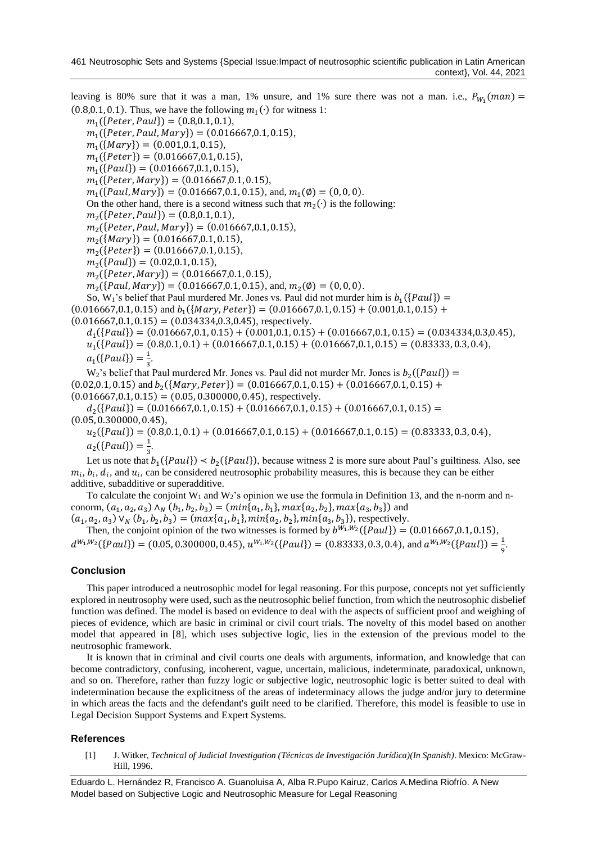leaving is 80% sure that it was a man, 1% unsure, and 1% sure there was not a man. i.e.,  $P_{W_1}(man)$  $(0.8, 0.1, 0.1)$ . Thus, we have the following  $m_1(\cdot)$  for witness 1:

 $m_1({\{Peter, Paul\}}) = (0.8, 0.1, 0.1),$  $m_1({\text{Peter, Paul, Mary}}) = (0.016667, 0.1, 0.15),$  $m_1({\text{Mary}}) = (0.001, 0.1, 0.15),$  $m_1({\{Peter\}}) = (0.016667, 0.1, 0.15),$  $m_1({\{Paul\}}) = (0.016667, 0.1, 0.15),$  $m_1({\{Peter, Mary\}}) = (0.016667, 0.1, 0.15),$ 

 $m_1({\{Paul, Mary\}}) = (0.016667, 0.1, 0.15), \text{ and, } m_1(\emptyset) = (0, 0, 0).$ 

On the other hand, there is a second witness such that  $m_2(\cdot)$  is the following:

 $m_2({\text{Peter}}, Paul) = (0.8, 0.1, 0.1),$ 

 $m_2({\text{feter}}, Paul, Mary) = (0.016667, 0.1, 0.15),$ 

 $m_2({\text{Mary}}) = (0.016667, 0.1, 0.15),$ 

$$
m_2({\text{Peter}}) = (0.016667, 0.1, 0.15),
$$

 $m_2({\{Paul\}}) = (0.02, 0.1, 0.15),$ 

 $m_2({\text{Peter}, Mary}) = (0.016667, 0.1, 0.15),$ 

 $m_2({\{Paul, Mary\}}) = (0.016667, 0.1, 0.15), \text{ and}, m_2(\emptyset) = (0, 0, 0).$ 

So, W<sub>1</sub>'s belief that Paul murdered Mr. Jones vs. Paul did not murder him is  $b_1({\{Paul\}})$  =

 $(0.016667, 0.1, 0.15)$  and  $b_1({\text{Mary, Peter}}) = (0.016667, 0.1, 0.15) + (0.001, 0.1, 0.15) +$ 

 $(0.016667, 0.1, 0.15) = (0.034334, 0.3, 0.45)$ , respectively.

 $d_1({\{Paul\}}) = (0.016667, 0.1, 0.15) + (0.001, 0.1, 0.15) + (0.016667, 0.1, 0.15) = (0.034334, 0.3, 0.45),$  $u_1({\{Paul\}}) = (0.8, 0.1, 0.1) + (0.016667, 0.1, 0.15) + (0.016667, 0.1, 0.15) = (0.83333, 0.3, 0.4),$  $a_1(\{Paul\}) = \frac{1}{3}$  $\frac{1}{3}$ .

 $W_2$ 's belief that Paul murdered Mr. Jones vs. Paul did not murder Mr. Jones is  $b_2({\text{Paul}})$  =  $(0.02, 0.1, 0.15)$  and  $b_2({\text{Mary, Peter}}) = (0.016667, 0.1, 0.15) + (0.016667, 0.1, 0.15) +$  $(0.016667, 0.1, 0.15) = (0.05, 0.300000, 0.45)$ , respectively.

 $d_2({\{Paul\}}) = (0.016667, 0.1, 0.15) + (0.016667, 0.1, 0.15) + (0.016667, 0.1, 0.15) =$  $(0.05, 0.300000, 0.45),$ 

 $u_2({\{Paul\}}) = (0.8, 0.1, 0.1) + (0.016667, 0.1, 0.15) + (0.016667, 0.1, 0.15) = (0.83333, 0.3, 0.4),$  $a_2({\{Paul\}}) = \frac{1}{3}$  $\frac{1}{3}$ .

Let us note that  $b_1({\text{Paul}}) < b_2({\text{Paul}})$ , because witness 2 is more sure about Paul's guiltiness. Also, see  $m_i$ ,  $b_i$ ,  $d_i$ , and  $u_i$ , can be considered neutrosophic probability measures, this is because they can be either additive, subadditive or superadditive.

To calculate the conjoint  $W_1$  and  $W_2$ 's opinion we use the formula in Definition 13, and the n-norm and nconorm,  $(a_1, a_2, a_3) \wedge_N (b_1, b_2, b_3) = (min\{a_1, b_1\}, max\{a_2, b_2\}, max\{a_3, b_3\})$  and

 $(a_1, a_2, a_3)$   $\vee_N (b_1, b_2, b_3) = (max\{a_1, b_1\}, min\{a_2, b_2\}, min\{a_3, b_3\})$ , respectively. Then, the conjoint opinion of the two witnesses is formed by  $b^{W_1,W_2}(\{Paul\}) = (0.016667,0.1,0.15)$ ,  $d^{W_1,W_2}(\{Paul\}) = (0.05, 0.300000, 0.45), u^{W_1,W_2}(\{Paul\}) = (0.83333, 0.3, 0.4), \text{ and } a^{W_1,W_2}(\{Paul\}) = \frac{1}{2}$ 9 .

## **Conclusion**

This paper introduced a neutrosophic model for legal reasoning. For this purpose, concepts not yet sufficiently explored in neutrosophy were used, such as the neutrosophic belief function, from which the neutrosophic disbelief function was defined. The model is based on evidence to deal with the aspects of sufficient proof and weighing of pieces of evidence, which are basic in criminal or civil court trials. The novelty of this model based on another model that appeared in [\[8\]](#page-6-6), which uses subjective logic, lies in the extension of the previous model to the neutrosophic framework.

It is known that in criminal and civil courts one deals with arguments, information, and knowledge that can become contradictory, confusing, incoherent, vague, uncertain, malicious, indeterminate, paradoxical, unknown, and so on. Therefore, rather than fuzzy logic or subjective logic, neutrosophic logic is better suited to deal with indetermination because the explicitness of the areas of indeterminacy allows the judge and/or jury to determine in which areas the facts and the defendant's guilt need to be clarified. Therefore, this model is feasible to use in Legal Decision Support Systems and Expert Systems.

## **References**

<span id="page-5-0"></span>[1] J. Witker, *Technical of Judicial Investigation (Técnicas de Investigación Jurídica)(In Spanish)*. Mexico: McGraw-Hill, 1996.

Eduardo L. Hernández R, Francisco A. Guanoluisa A, Alba R.Pupo Kairuz, Carlos A.Medina Riofrío. A New Model based on Subjective Logic and Neutrosophic Measure for Legal Reasoning